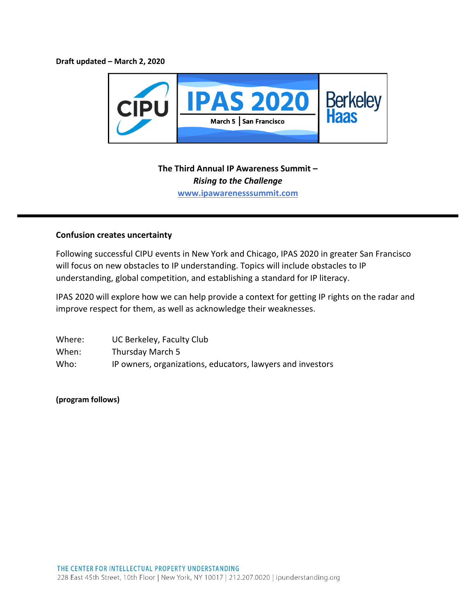**Draft updated – March 2, 2020**



## **The Third Annual IP Awareness Summit –** *Rising to the Challenge* **www.ipawarenesssummit.com**

## **Confusion creates uncertainty**

Following successful CIPU events in New York and Chicago, IPAS 2020 in greater San Francisco will focus on new obstacles to IP understanding. Topics will include obstacles to IP understanding, global competition, and establishing a standard for IP literacy.

IPAS 2020 will explore how we can help provide a context for getting IP rights on the radar and improve respect for them, as well as acknowledge their weaknesses.

| Where: | UC Berkeley, Faculty Club                                  |
|--------|------------------------------------------------------------|
| When:  | Thursday March 5                                           |
| Who:   | IP owners, organizations, educators, lawyers and investors |

**(program follows)**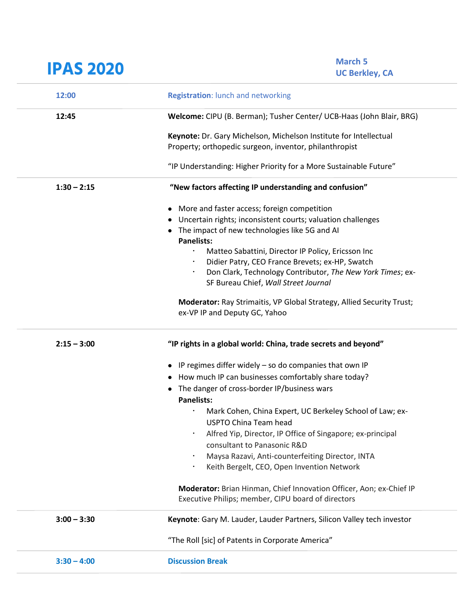| <b>IPAS 2020</b> | <b>March 5</b><br><b>UC Berkley, CA</b>                                                                |
|------------------|--------------------------------------------------------------------------------------------------------|
| 12:00            | <b>Registration:</b> lunch and networking                                                              |
| 12:45            | Welcome: CIPU (B. Berman); Tusher Center/ UCB-Haas (John Blair, BRG)                                   |
|                  | Keynote: Dr. Gary Michelson, Michelson Institute for Intellectual                                      |
|                  | Property; orthopedic surgeon, inventor, philanthropist                                                 |
|                  | "IP Understanding: Higher Priority for a More Sustainable Future"                                      |
| $1:30 - 2:15$    | "New factors affecting IP understanding and confusion"                                                 |
|                  | • More and faster access; foreign competition                                                          |
|                  | • Uncertain rights; inconsistent courts; valuation challenges                                          |
|                  | • The impact of new technologies like 5G and AI<br><b>Panelists:</b>                                   |
|                  | Matteo Sabattini, Director IP Policy, Ericsson Inc<br>$\bullet$                                        |
|                  | Didier Patry, CEO France Brevets; ex-HP, Swatch                                                        |
|                  | Don Clark, Technology Contributor, The New York Times; ex-                                             |
|                  | SF Bureau Chief, Wall Street Journal                                                                   |
|                  | Moderator: Ray Strimaitis, VP Global Strategy, Allied Security Trust;<br>ex-VP IP and Deputy GC, Yahoo |
| $2:15 - 3:00$    | "IP rights in a global world: China, trade secrets and beyond"                                         |
|                  | • IP regimes differ widely - so do companies that own IP                                               |
|                  | • How much IP can businesses comfortably share today?                                                  |
|                  | The danger of cross-border IP/business wars<br><b>Panelists:</b>                                       |
|                  | Mark Cohen, China Expert, UC Berkeley School of Law; ex-                                               |
|                  | <b>USPTO China Team head</b>                                                                           |
|                  | Alfred Yip, Director, IP Office of Singapore; ex-principal                                             |
|                  | consultant to Panasonic R&D                                                                            |
|                  | Maysa Razavi, Anti-counterfeiting Director, INTA                                                       |
|                  | Keith Bergelt, CEO, Open Invention Network                                                             |
|                  | Moderator: Brian Hinman, Chief Innovation Officer, Aon; ex-Chief IP                                    |
|                  | Executive Philips; member, CIPU board of directors                                                     |
| $3:00 - 3:30$    | Keynote: Gary M. Lauder, Lauder Partners, Silicon Valley tech investor                                 |
|                  | "The Roll [sic] of Patents in Corporate America"                                                       |
| $3:30 - 4:00$    | <b>Discussion Break</b>                                                                                |